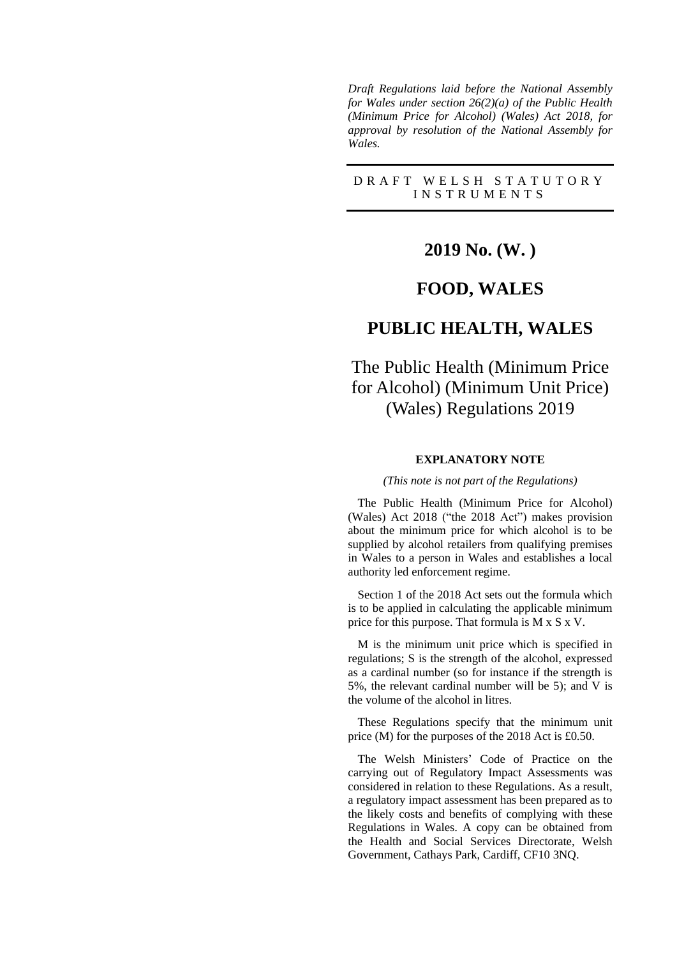*Draft Regulations laid before the National Assembly for Wales under section 26(2)(a) of the Public Health (Minimum Price for Alcohol) (Wales) Act 2018, for approval by resolution of the National Assembly for Wales.*

D R A F T W E L S H S T A T U T O R Y I N S T R U M E N T S

# **2019 No. (W. )**

### **FOOD, WALES**

## **PUBLIC HEALTH, WALES**

# The Public Health (Minimum Price for Alcohol) (Minimum Unit Price) (Wales) Regulations 2019

#### **EXPLANATORY NOTE**

*(This note is not part of the Regulations)*

The Public Health (Minimum Price for Alcohol) (Wales) Act 2018 ("the 2018 Act") makes provision about the minimum price for which alcohol is to be supplied by alcohol retailers from qualifying premises in Wales to a person in Wales and establishes a local authority led enforcement regime.

Section 1 of the 2018 Act sets out the formula which is to be applied in calculating the applicable minimum price for this purpose. That formula is M x S x V.

M is the minimum unit price which is specified in regulations; S is the strength of the alcohol, expressed as a cardinal number (so for instance if the strength is 5%, the relevant cardinal number will be 5); and V is the volume of the alcohol in litres.

These Regulations specify that the minimum unit price (M) for the purposes of the 2018 Act is £0.50.

The Welsh Ministers' Code of Practice on the carrying out of Regulatory Impact Assessments was considered in relation to these Regulations. As a result, a regulatory impact assessment has been prepared as to the likely costs and benefits of complying with these Regulations in Wales. A copy can be obtained from the Health and Social Services Directorate, Welsh Government, Cathays Park, Cardiff, CF10 3NQ.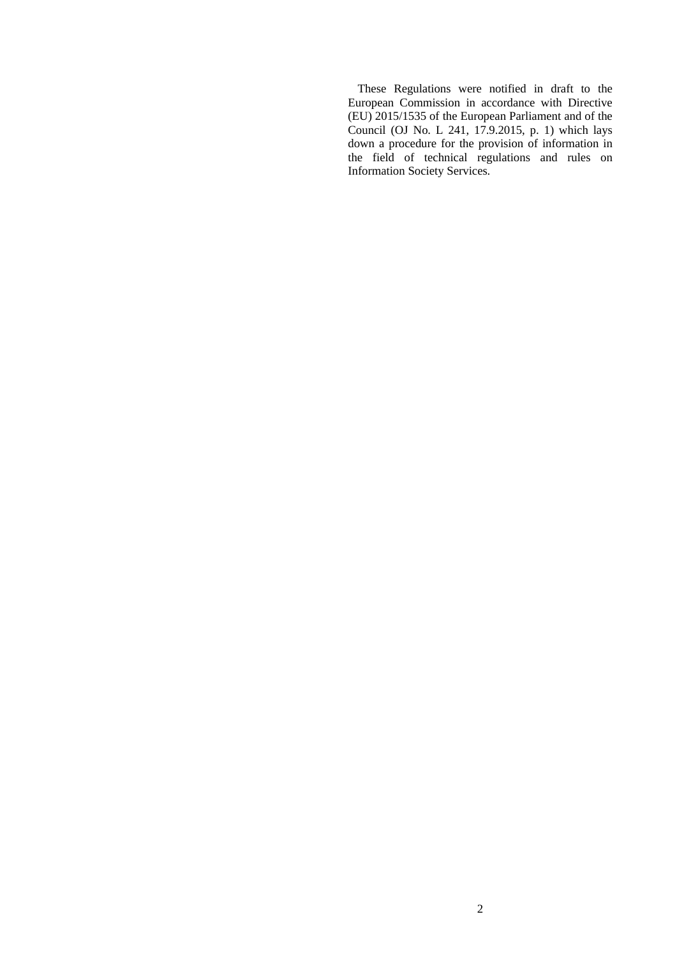These Regulations were notified in draft to the European Commission in accordance with Directive (EU) 2015/1535 of the European Parliament and of the Council (OJ No. L 241, 17.9.2015, p. 1) which lays down a procedure for the provision of information in the field of technical regulations and rules on Information Society Services.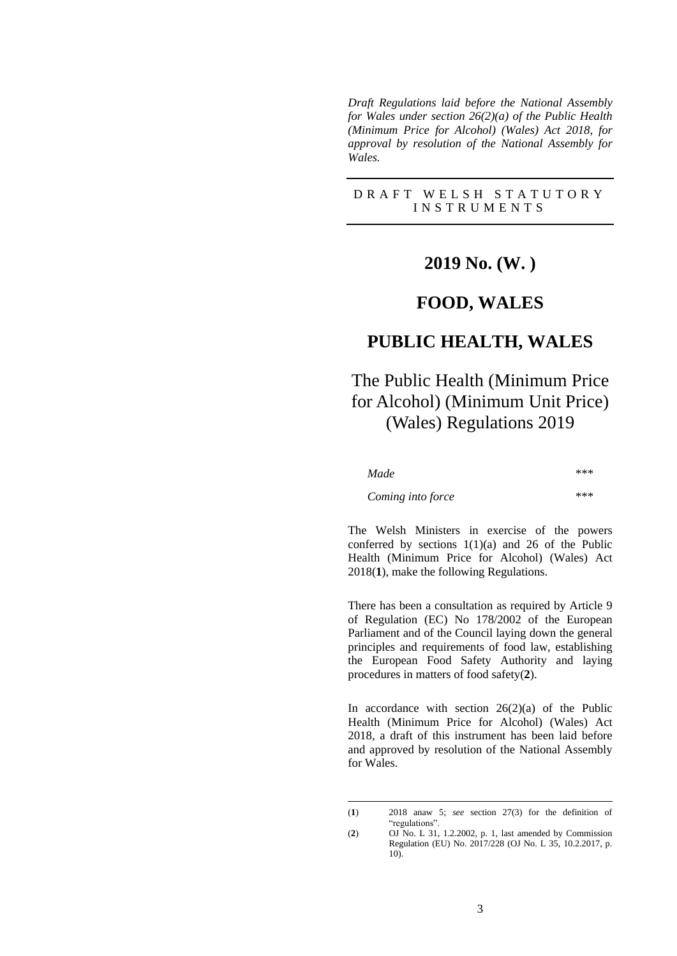*Draft Regulations laid before the National Assembly for Wales under section 26(2)(a) of the Public Health (Minimum Price for Alcohol) (Wales) Act 2018, for approval by resolution of the National Assembly for Wales.*

DRAFT WELSH STATUTORY I N S T R U M E N T S

### **2019 No. (W. )**

### **FOOD, WALES**

## **PUBLIC HEALTH, WALES**

# The Public Health (Minimum Price for Alcohol) (Minimum Unit Price) (Wales) Regulations 2019

| Made              | *** |
|-------------------|-----|
| Coming into force | *** |

The Welsh Ministers in exercise of the powers conferred by sections  $1(1)(a)$  and 26 of the Public Health (Minimum Price for Alcohol) (Wales) Act 2018(**1**), make the following Regulations.

There has been a consultation as required by Article 9 of Regulation (EC) No 178/2002 of the European Parliament and of the Council laying down the general principles and requirements of food law, establishing the European Food Safety Authority and laying procedures in matters of food safety(**2**).

In accordance with section  $26(2)(a)$  of the Public Health (Minimum Price for Alcohol) (Wales) Act 2018, a draft of this instrument has been laid before and approved by resolution of the National Assembly for Wales.

<sup>(</sup>**1**) 2018 anaw 5; *see* section 27(3) for the definition of "regulations".

<sup>(</sup>**2**) OJ No. L 31, 1.2.2002, p. 1, last amended by Commission Regulation (EU) No. 2017/228 (OJ No. L 35, 10.2.2017, p. 10).